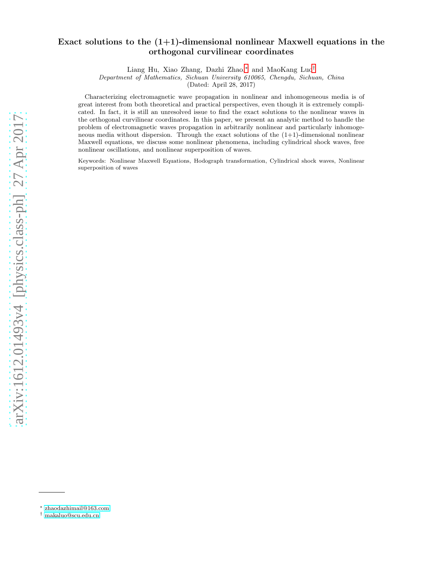# Exact solutions to the  $(1+1)$ -dimensional nonlinear Maxwell equations in the orthogonal curvilinear coordinates

Liang Hu, Xiao Zhang, Dazhi Zhao,[∗](#page-0-0) and MaoKang Luo[†](#page-0-1)

Department of Mathematics, Sichuan University 610065, Chengdu, Sichuan, China

(Dated: April 28, 2017)

Characterizing electromagnetic wave propagation in nonlinear and inhomogeneous media is of great interest from both theoretical and practical perspectives, even though it is extremely complicated. In fact, it is still an unresolved issue to find the exact solutions to the nonlinear waves in the orthogonal curvilinear coordinates. In this paper, we present an analytic method to handle the problem of electromagnetic waves propagation in arbitrarily nonlinear and particularly inhomogeneous media without dispersion. Through the exact solutions of the  $(1+1)$ -dimensional nonlinear Maxwell equations, we discuss some nonlinear phenomena, including cylindrical shock waves, free nonlinear oscillations, and nonlinear superposition of waves.

Keywords: Nonlinear Maxwell Equations, Hodograph transformation, Cylindrical shock waves, Nonlinear superposition of waves

<span id="page-0-0"></span><sup>∗</sup> [zhaodazhimail@163.com](mailto:zhaodazhimail@163.com)

<span id="page-0-1"></span><sup>†</sup> [makaluo@scu.edu.cn](mailto:makaluo@scu.edu.cn)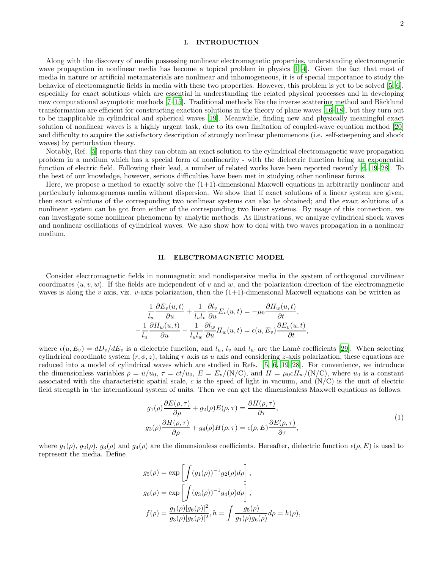## I. INTRODUCTION

Along with the discovery of media possessing nonlinear electromagnetic properties, understanding electromagnetic wave propagation in nonlinear media has become a topical problem in physics [\[1](#page-9-0)[–4\]](#page-9-1). Given the fact that most of media in nature or artificial metamaterials are nonlinear and inhomogeneous, it is of special importance to study the behavior of electromagnetic fields in media with these two properties. However, this problem is yet to be solved [\[5,](#page-9-2) [6\]](#page-9-3), especially for exact solutions which are essential in understanding the related physical processes and in developing new computational asymptotic methods [\[7](#page-9-4)[–15\]](#page-9-5). Traditional methods like the inverse scattering method and Bäcklund transformation are efficient for constructing exaction solutions in the theory of plane waves [\[16](#page-9-6)[–18\]](#page-9-7), but they turn out to be inapplicable in cylindrical and spherical waves [\[19](#page-9-8)]. Meanwhile, finding new and physically meaningful exact solution of nonlinear waves is a highly urgent task, due to its own limitation of coupled-wave equation method [\[20](#page-9-9)] and difficulty to acquire the satisfactory description of strongly nonlinear phenomenons (i.e. self-steepening and shock waves) by perturbation theory.

Notably, Ref. [\[5](#page-9-2)] reports that they can obtain an exact solution to the cylindrical electromagnetic wave propagation problem in a medium which has a special form of nonlinearity - with the dielectric function being an exponential function of electric field. Following their lead, a number of related works have been reported recently [\[6](#page-9-3), [19](#page-9-8)[–28](#page-9-10)]. To the best of our knowledge, however, serious difficulties have been met in studying other nonlinear forms.

Here, we propose a method to exactly solve the  $(1+1)$ -dimensional Maxwell equations in arbitrarily nonlinear and particularly inhomogeneous media without dispersion. We show that if exact solutions of a linear system are given, then exact solutions of the corresponding two nonlinear systems can also be obtained; and the exact solutions of a nonlinear system can be got from either of the corresponding two linear systems. By usage of this connection, we can investigate some nonlinear phenomena by analytic methods. As illustrations, we analyze cylindrical shock waves and nonlinear oscillations of cylindrical waves. We also show how to deal with two waves propagation in a nonlinear medium.

## II. ELECTROMAGNETIC MODEL

Consider electromagnetic fields in nonmagnetic and nondispersive media in the system of orthogonal curvilinear coordinates  $(u, v, w)$ . If the fields are independent of v and w, and the polarization direction of the electromagnetic waves is along the v axis, viz. v-axis polarization, then the  $(1+1)$ -dimensional Maxwell equations can be written as

$$
\frac{1}{l_u} \frac{\partial E_v(u,t)}{\partial u} + \frac{1}{l_u l_v} \frac{\partial l_v}{\partial u} E_v(u,t) = -\mu_0 \frac{\partial H_w(u,t)}{\partial t},
$$
  

$$
-\frac{1}{l_u} \frac{\partial H_w(u,t)}{\partial u} - \frac{1}{l_u l_w} \frac{\partial l_w}{\partial u} H_w(u,t) = \epsilon(u, E_v) \frac{\partial E_v(u,t)}{\partial t},
$$

where  $\epsilon(u, E_v) = dD_v/dE_v$  is a dielectric function, and  $l_u, l_v$  and  $l_w$  are the Lamé coefficients [\[29\]](#page-9-11). When selecting cylindrical coordinate system  $(r, \phi, z)$ , taking r axis as u axis and considering z-axis polarization, these equations are reduced into a model of cylindrical waves which are studied in Refs. [\[5](#page-9-2), [6,](#page-9-3) [19](#page-9-8)[–28\]](#page-9-10). For convenience, we introduce the dimensionless variables  $\rho = u/u_0$ ,  $\tau = ct/u_0$ ,  $E = E_v/(N/C)$ , and  $H = \mu_0 c H_w/(N/C)$ , where  $u_0$  is a constant associated with the characteristic spatial scale,  $c$  is the speed of light in vacuum, and  $(N/C)$  is the unit of electric field strength in the international system of units. Then we can get the dimensionless Maxwell equations as follows:

<span id="page-1-0"></span>
$$
g_1(\rho)\frac{\partial E(\rho,\tau)}{\partial \rho} + g_2(\rho)E(\rho,\tau) = \frac{\partial H(\rho,\tau)}{\partial \tau},
$$
  
\n
$$
g_3(\rho)\frac{\partial H(\rho,\tau)}{\partial \rho} + g_4(\rho)H(\rho,\tau) = \epsilon(\rho,E)\frac{\partial E(\rho,\tau)}{\partial \tau},
$$
\n(1)

where  $g_1(\rho), g_2(\rho), g_3(\rho)$  and  $g_4(\rho)$  are the dimensionless coefficients. Hereafter, dielectric function  $\epsilon(\rho, E)$  is used to represent the media. Define

$$
g_5(\rho) = \exp \left[ \int (g_1(\rho))^{-1} g_2(\rho) d\rho \right],
$$
  
\n
$$
g_6(\rho) = \exp \left[ \int (g_3(\rho))^{-1} g_4(\rho) d\rho \right],
$$
  
\n
$$
f(\rho) = \frac{g_1(\rho) [g_6(\rho)]^2}{g_3(\rho) [g_5(\rho)]^2}, h = \int \frac{g_5(\rho)}{g_1(\rho) g_6(\rho)} d\rho = h(\rho),
$$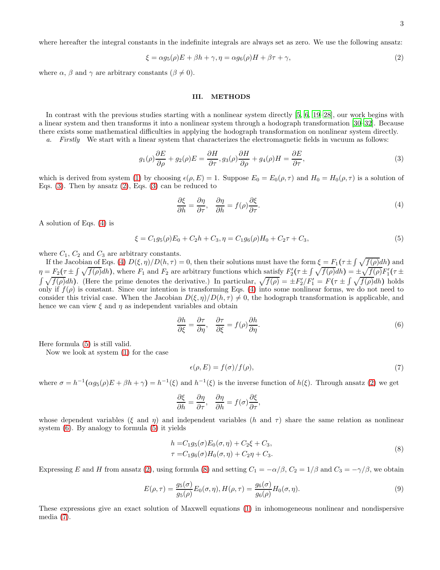where hereafter the integral constants in the indefinite integrals are always set as zero. We use the following ansatz:

<span id="page-2-1"></span>
$$
\xi = \alpha g_5(\rho) E + \beta h + \gamma, \eta = \alpha g_6(\rho) H + \beta \tau + \gamma,
$$
\n(2)

where  $\alpha$ ,  $\beta$  and  $\gamma$  are arbitrary constants ( $\beta \neq 0$ ).

#### III. METHODS

In contrast with the previous studies starting with a nonlinear system directly [\[5](#page-9-2), [6](#page-9-3), [19](#page-9-8)[–28\]](#page-9-10), our work begins with a linear system and then transforms it into a nonlinear system through a hodograph transformation [\[30](#page-9-12)[–32\]](#page-9-13). Because there exists some mathematical difficulties in applying the hodograph transformation on nonlinear system directly.

a. Firstly We start with a linear system that characterizes the electromagnetic fields in vacuum as follows:

<span id="page-2-0"></span>
$$
g_1(\rho)\frac{\partial E}{\partial \rho} + g_2(\rho)E = \frac{\partial H}{\partial \tau}, g_3(\rho)\frac{\partial H}{\partial \rho} + g_4(\rho)H = \frac{\partial E}{\partial \tau},\tag{3}
$$

which is derived from system [\(1\)](#page-1-0) by choosing  $\epsilon(\rho, E) = 1$ . Suppose  $E_0 = E_0(\rho, \tau)$  and  $H_0 = H_0(\rho, \tau)$  is a solution of Eqs.  $(3)$ . Then by ansatz  $(2)$ , Eqs.  $(3)$  can be reduced to

<span id="page-2-2"></span>
$$
\frac{\partial \xi}{\partial h} = \frac{\partial \eta}{\partial \tau}, \quad \frac{\partial \eta}{\partial h} = f(\rho) \frac{\partial \xi}{\partial \tau}.
$$
\n(4)

A solution of Eqs. [\(4\)](#page-2-2) is

<span id="page-2-3"></span>
$$
\xi = C_1 g_5(\rho) E_0 + C_2 h + C_3, \eta = C_1 g_6(\rho) H_0 + C_2 \tau + C_3,\tag{5}
$$

where  $C_1$ ,  $C_2$  and  $C_3$  are arbitrary constants.

If the Jacobian of Eqs. [\(4\)](#page-2-2)  $D(\xi, \eta)/D(h, \tau) = 0$ , then their solutions must have the form  $\xi = F_1(\tau \pm \int \sqrt{f(\rho)} dh)$  and  $\eta = F_2(\tau \pm \int \sqrt{f(\rho)} dh)$ , where  $F_1$  and  $F_2$  are arbitrary functions which satisfy  $F_2'(\tau \pm \int \sqrt{f(\rho)} dh) = \pm \sqrt{f(\rho)} F_1'(\tau \pm \int \sqrt{f(\rho)} dh)$  $\int \sqrt{f(\rho)} dh$ ). (Here the prime denotes the derivative.) In particular,  $\sqrt{f(\rho)} = \pm F'_2/F'_1 = F(\tau \pm \int \sqrt{f(\rho)} dh)$  holds only if  $f(\rho)$  is constant. Since our intention is transforming Eqs. [\(4\)](#page-2-2) into some nonlinear forms, we do not need to consider this trivial case. When the Jacobian  $D(\xi, \eta)/D(h, \tau) \neq 0$ , the hodograph transformation is applicable, and hence we can view  $\xi$  and  $\eta$  as independent variables and obtain

<span id="page-2-4"></span>
$$
\frac{\partial h}{\partial \xi} = \frac{\partial \tau}{\partial \eta}, \quad \frac{\partial \tau}{\partial \xi} = f(\rho) \frac{\partial h}{\partial \eta}.
$$
\n(6)

Here formula [\(5\)](#page-2-3) is still valid.

Now we look at system [\(1\)](#page-1-0) for the case

<span id="page-2-6"></span>
$$
\epsilon(\rho, E) = f(\sigma) / f(\rho),\tag{7}
$$

where  $\sigma = h^{-1}(\alpha g_5(\rho)E + \beta h + \gamma) = h^{-1}(\xi)$  and  $h^{-1}(\xi)$  is the inverse function of  $h(\xi)$ . Through ansatz [\(2\)](#page-2-1) we get

$$
\frac{\partial \xi}{\partial h} = \frac{\partial \eta}{\partial \tau}, \quad \frac{\partial \eta}{\partial h} = f(\sigma) \frac{\partial \xi}{\partial \tau},
$$

whose dependent variables (ξ and η) and independent variables (h and  $\tau$ ) share the same relation as nonlinear system [\(6\)](#page-2-4). By analogy to formula [\(5\)](#page-2-3) it yields

<span id="page-2-5"></span>
$$
h = C_1 g_5(\sigma) E_0(\sigma, \eta) + C_2 \xi + C_3,
$$
  
\n
$$
\tau = C_1 g_6(\sigma) H_0(\sigma, \eta) + C_2 \eta + C_3.
$$
\n(8)

Expressing E and H from ansatz [\(2\)](#page-2-1), using formula [\(8\)](#page-2-5) and setting  $C_1 = -\alpha/\beta$ ,  $C_2 = 1/\beta$  and  $C_3 = -\gamma/\beta$ , we obtain

<span id="page-2-7"></span>
$$
E(\rho, \tau) = \frac{g_5(\sigma)}{g_5(\rho)} E_0(\sigma, \eta), H(\rho, \tau) = \frac{g_6(\sigma)}{g_6(\rho)} H_0(\sigma, \eta).
$$
\n(9)

These expressions give an exact solution of Maxwell equations [\(1\)](#page-1-0) in inhomogeneous nonlinear and nondispersive media [\(7\)](#page-2-6).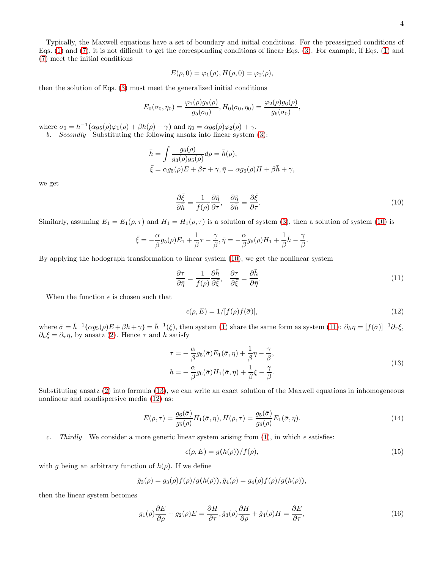Typically, the Maxwell equations have a set of boundary and initial conditions. For the preassigned conditions of Eqs. [\(1\)](#page-1-0) and [\(7\)](#page-2-6), it is not difficult to get the corresponding conditions of linear Eqs. [\(3\)](#page-2-0). For example, if Eqs. [\(1\)](#page-1-0) and [\(7\)](#page-2-6) meet the initial conditions

$$
E(\rho,0) = \varphi_1(\rho), H(\rho,0) = \varphi_2(\rho),
$$

then the solution of Eqs. [\(3\)](#page-2-0) must meet the generalized initial conditions

$$
E_0(\sigma_0, \eta_0) = \frac{\varphi_1(\rho)g_5(\rho)}{g_5(\sigma_0)}, H_0(\sigma_0, \eta_0) = \frac{\varphi_2(\rho)g_6(\rho)}{g_6(\sigma_0)},
$$

where  $\sigma_0 = h^{-1}(\alpha g_5(\rho)\varphi_1(\rho) + \beta h(\rho) + \gamma)$  and  $\eta_0 = \alpha g_6(\rho)\varphi_2(\rho) + \gamma$ .

b. Secondly Substituting the following ansatz into linear system [\(3\)](#page-2-0):

$$
\bar{h} = \int \frac{g_6(\rho)}{g_3(\rho)g_5(\rho)} d\rho = \bar{h}(\rho),
$$
  

$$
\bar{\xi} = \alpha g_5(\rho)E + \beta \tau + \gamma, \bar{\eta} = \alpha g_6(\rho)H + \beta \bar{h} + \gamma,
$$

we get

<span id="page-3-0"></span>
$$
\frac{\partial \bar{\xi}}{\partial \bar{h}} = \frac{1}{f(\rho)} \frac{\partial \bar{\eta}}{\partial \tau}, \quad \frac{\partial \bar{\eta}}{\partial \bar{h}} = \frac{\partial \bar{\xi}}{\partial \tau}.
$$
\n(10)

Similarly, assuming  $E_1 = E_1(\rho, \tau)$  and  $H_1 = H_1(\rho, \tau)$  is a solution of system [\(3\)](#page-2-0), then a solution of system [\(10\)](#page-3-0) is

$$
\bar{\xi} = -\frac{\alpha}{\beta} g_5(\rho) E_1 + \frac{1}{\beta} \tau - \frac{\gamma}{\beta}, \bar{\eta} = -\frac{\alpha}{\beta} g_6(\rho) H_1 + \frac{1}{\beta} \bar{h} - \frac{\gamma}{\beta}.
$$

By applying the hodograph transformation to linear system [\(10\)](#page-3-0), we get the nonlinear system

<span id="page-3-1"></span>
$$
\frac{\partial \tau}{\partial \bar{\eta}} = \frac{1}{f(\rho)} \frac{\partial \bar{h}}{\partial \bar{\xi}}, \quad \frac{\partial \tau}{\partial \bar{\xi}} = \frac{\partial \bar{h}}{\partial \bar{\eta}}.
$$
\n(11)

When the function  $\epsilon$  is chosen such that

<span id="page-3-3"></span>
$$
\epsilon(\rho, E) = 1/[f(\rho)f(\bar{\sigma})],\tag{12}
$$

where  $\bar{\sigma} = \bar{h}^{-1}(\alpha g_5(\rho)E + \beta h + \gamma) = \bar{h}^{-1}(\xi)$ , then system [\(1\)](#page-1-0) share the same form as system [\(11\)](#page-3-1):  $\partial_h \eta = [f(\bar{\sigma})]^{-1} \partial_{\tau} \xi$ ,  $\partial_h \xi = \partial_\tau \eta$ , by ansatz [\(2\)](#page-2-1). Hence  $\tau$  and h satisfy

<span id="page-3-2"></span>
$$
\tau = -\frac{\alpha}{\beta} g_5(\bar{\sigma}) E_1(\bar{\sigma}, \eta) + \frac{1}{\beta} \eta - \frac{\gamma}{\beta},
$$
  
\n
$$
h = -\frac{\alpha}{\beta} g_6(\bar{\sigma}) H_1(\bar{\sigma}, \eta) + \frac{1}{\beta} \xi - \frac{\gamma}{\beta}.
$$
\n(13)

Substituting ansatz [\(2\)](#page-2-1) into formula [\(13\)](#page-3-2), we can write an exact solution of the Maxwell equations in inhomogeneous nonlinear and nondispersive media [\(12\)](#page-3-3) as:

<span id="page-3-6"></span>
$$
E(\rho,\tau) = \frac{g_6(\bar{\sigma})}{g_5(\rho)} H_1(\bar{\sigma},\eta), H(\rho,\tau) = \frac{g_5(\bar{\sigma})}{g_6(\rho)} E_1(\bar{\sigma},\eta). \tag{14}
$$

c. Thirdly We consider a more generic linear system arising from [\(1\)](#page-1-0), in which  $\epsilon$  satisfies:

<span id="page-3-5"></span>
$$
\epsilon(\rho, E) = g(h(\rho))/f(\rho),\tag{15}
$$

with g being an arbitrary function of  $h(\rho)$ . If we define

$$
\tilde{g}_3(\rho)=g_3(\rho)f(\rho)/g(h(\rho)),\tilde{g}_4(\rho)=g_4(\rho)f(\rho)/g(h(\rho)),
$$

then the linear system becomes

<span id="page-3-4"></span>
$$
g_1(\rho)\frac{\partial E}{\partial \rho} + g_2(\rho)E = \frac{\partial H}{\partial \tau}, \tilde{g}_3(\rho)\frac{\partial H}{\partial \rho} + \tilde{g}_4(\rho)H = \frac{\partial E}{\partial \tau},\tag{16}
$$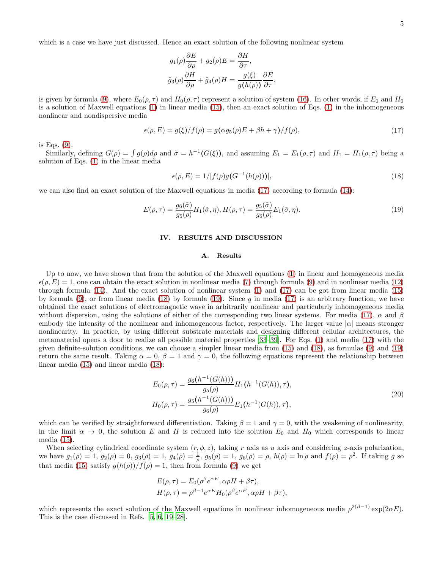which is a case we have just discussed. Hence an exact solution of the following nonlinear system

$$
g_1(\rho)\frac{\partial E}{\partial \rho} + g_2(\rho)E = \frac{\partial H}{\partial \tau},
$$
  

$$
\tilde{g}_3(\rho)\frac{\partial H}{\partial \rho} + \tilde{g}_4(\rho)H = \frac{g(\xi)}{g(h(\rho))}\frac{\partial E}{\partial \tau},
$$

is given by formula [\(9\)](#page-2-7), where  $E_0(\rho, \tau)$  and  $H_0(\rho, \tau)$  represent a solution of system [\(16\)](#page-3-4). In other words, if  $E_0$  and  $H_0$ is a solution of Maxwell equations [\(1\)](#page-1-0) in linear media [\(15\)](#page-3-5), then an exact solution of Eqs. [\(1\)](#page-1-0) in the inhomogeneous nonlinear and nondispersive media

<span id="page-4-0"></span>
$$
\epsilon(\rho, E) = g(\xi)/f(\rho) = g(\alpha g_5(\rho)E + \beta h + \gamma)/f(\rho),\tag{17}
$$

is Eqs. [\(9\)](#page-2-7).

Similarly, defining  $G(\rho) = \int g(\rho) d\rho$  and  $\tilde{\sigma} = h^{-1}(G(\xi))$ , and assuming  $E_1 = E_1(\rho, \tau)$  and  $H_1 = H_1(\rho, \tau)$  being a solution of Eqs. [\(1\)](#page-1-0) in the linear media

<span id="page-4-1"></span>
$$
\epsilon(\rho, E) = 1/ [f(\rho)g(G^{-1}(h(\rho)))], \qquad (18)
$$

we can also find an exact solution of the Maxwell equations in media [\(17\)](#page-4-0) according to formula [\(14\)](#page-3-6):

<span id="page-4-2"></span>
$$
E(\rho,\tau) = \frac{g_6(\tilde{\sigma})}{g_5(\rho)} H_1(\tilde{\sigma},\eta), H(\rho,\tau) = \frac{g_5(\tilde{\sigma})}{g_6(\rho)} E_1(\tilde{\sigma},\eta). \tag{19}
$$

# IV. RESULTS AND DISCUSSION

#### A. Results

Up to now, we have shown that from the solution of the Maxwell equations [\(1\)](#page-1-0) in linear and homogeneous media  $\epsilon(\rho, E) = 1$ , one can obtain the exact solution in nonlinear media [\(7\)](#page-2-6) through formula [\(9\)](#page-2-7) and in nonlinear media [\(12\)](#page-3-3) through formula [\(14\)](#page-3-6). And the exact solution of nonlinear system [\(1\)](#page-1-0) and [\(17\)](#page-4-0) can be got from linear media [\(15\)](#page-3-5) by formula [\(9\)](#page-2-7), or from linear media [\(18\)](#page-4-1) by formula [\(19\)](#page-4-2). Since g in media [\(17\)](#page-4-0) is an arbitrary function, we have obtained the exact solutions of electromagnetic wave in arbitrarily nonlinear and particularly inhomogeneous media without dispersion, using the solutions of either of the corresponding two linear systems. For media [\(17\)](#page-4-0),  $\alpha$  and  $\beta$ embody the intensity of the nonlinear and inhomogeneous factor, respectively. The larger value  $|\alpha|$  means stronger nonlinearity. In practice, by using different substrate materials and designing different cellular architectures, the metamaterial opens a door to realize all possible material properties [\[33](#page-10-0)[–39](#page-10-1)]. For Eqs. [\(1\)](#page-1-0) and media [\(17\)](#page-4-0) with the given definite-solution conditions, we can choose a simpler linear media from [\(15\)](#page-3-5) and [\(18\)](#page-4-1), as formulas [\(9\)](#page-2-7) and [\(19\)](#page-4-2) return the same result. Taking  $\alpha = 0$ ,  $\beta = 1$  and  $\gamma = 0$ , the following equations represent the relationship between linear media [\(15\)](#page-3-5) and linear media [\(18\)](#page-4-1):

$$
E_0(\rho, \tau) = \frac{g_6(h^{-1}(G(h)))}{g_5(\rho)} H_1(h^{-1}(G(h)), \tau),
$$
  
\n
$$
H_0(\rho, \tau) = \frac{g_5(h^{-1}(G(h)))}{g_6(\rho)} E_1(h^{-1}(G(h)), \tau),
$$
\n(20)

which can be verified by straightforward differentiation. Taking  $\beta = 1$  and  $\gamma = 0$ , with the weakening of nonlinearity, in the limit  $\alpha \to 0$ , the solution E and H is reduced into the solution  $E_0$  and  $H_0$  which corresponds to linear media [\(15\)](#page-3-5).

When selecting cylindrical coordinate system  $(r, \phi, z)$ , taking r axis as u axis and considering z-axis polarization, we have  $g_1(\rho) = 1$ ,  $g_2(\rho) = 0$ ,  $g_3(\rho) = 1$ ,  $g_4(\rho) = \frac{1}{\rho}$ ,  $g_5(\rho) = 1$ ,  $g_6(\rho) = \rho$ ,  $h(\rho) = \ln \rho$  and  $f(\rho) = \rho^2$ . If taking g so that media [\(15\)](#page-3-5) satisfy  $g(h(\rho))/f(\rho) = 1$ , then from formula [\(9\)](#page-2-7) we get

$$
E(\rho, \tau) = E_0(\rho^{\beta} e^{\alpha E}, \alpha \rho H + \beta \tau),
$$
  

$$
H(\rho, \tau) = \rho^{\beta - 1} e^{\alpha E} H_0(\rho^{\beta} e^{\alpha E}, \alpha \rho H + \beta \tau),
$$

which represents the exact solution of the Maxwell equations in nonlinear inhomogeneous media  $\rho^{2(\beta-1)} \exp(2\alpha E)$ . This is the case discussed in Refs. [\[5,](#page-9-2) [6,](#page-9-3) [19](#page-9-8)[–28\]](#page-9-10).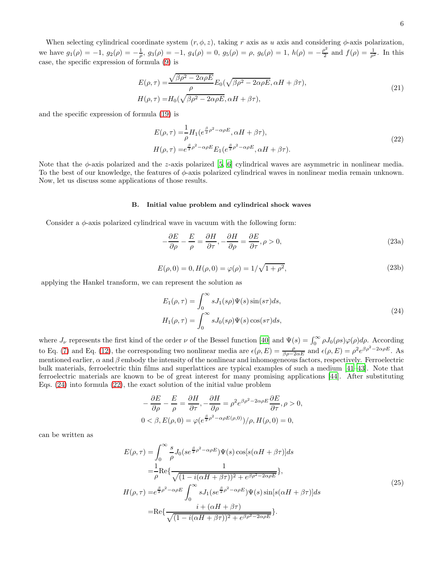When selecting cylindrical coordinate system  $(r, \phi, z)$ , taking r axis as u axis and considering  $\phi$ -axis polarization, we have  $g_1(\rho) = -1$ ,  $g_2(\rho) = -\frac{1}{\rho}$ ,  $g_3(\rho) = -1$ ,  $g_4(\rho) = 0$ ,  $g_5(\rho) = \rho$ ,  $g_6(\rho) = 1$ ,  $h(\rho) = -\frac{\rho^2}{2}$  $\frac{\rho^2}{2}$  and  $f(\rho) = \frac{1}{\rho^2}$ . In this case, the specific expression of formula [\(9\)](#page-2-7) is

<span id="page-5-4"></span>
$$
E(\rho,\tau) = \frac{\sqrt{\beta \rho^2 - 2\alpha \rho E}}{\rho} E_0(\sqrt{\beta \rho^2 - 2\alpha \rho E}, \alpha H + \beta \tau),
$$
  
\n
$$
H(\rho,\tau) = H_0(\sqrt{\beta \rho^2 - 2\alpha \rho E}, \alpha H + \beta \tau),
$$
\n(21)

and the specific expression of formula [\(19\)](#page-4-2) is

<span id="page-5-1"></span>
$$
E(\rho,\tau) = \frac{1}{\rho} H_1(e^{\frac{\beta}{2}\rho^2 - \alpha \rho E}, \alpha H + \beta \tau),
$$
  
\n
$$
H(\rho,\tau) = e^{\frac{\beta}{2}\rho^2 - \alpha \rho E} E_1(e^{\frac{\beta}{2}\rho^2 - \alpha \rho E}, \alpha H + \beta \tau).
$$
\n(22)

Note that the  $\phi$ -axis polarized and the z-axis polarized [\[5,](#page-9-2) [6](#page-9-3)] cylindrical waves are asymmetric in nonlinear media. To the best of our knowledge, the features of φ-axis polarized cylindrical waves in nonlinear media remain unknown. Now, let us discuss some applications of those results.

#### B. Initial value problem and cylindrical shock waves

Consider a  $\phi$ -axis polarized cylindrical wave in vacuum with the following form:

<span id="page-5-3"></span>
$$
-\frac{\partial E}{\partial \rho} - \frac{E}{\rho} = \frac{\partial H}{\partial \tau}, -\frac{\partial H}{\partial \rho} = \frac{\partial E}{\partial \tau}, \rho > 0,
$$
\n(23a)

$$
E(\rho, 0) = 0, H(\rho, 0) = \varphi(\rho) = 1/\sqrt{1 + \rho^2},
$$
\n(23b)

applying the Hankel transform, we can represent the solution as

<span id="page-5-0"></span>
$$
E_1(\rho, \tau) = \int_0^\infty s J_1(s\rho) \Psi(s) \sin(s\tau) ds,
$$
  
\n
$$
H_1(\rho, \tau) = \int_0^\infty s J_0(s\rho) \Psi(s) \cos(s\tau) ds,
$$
\n(24)

where  $J_{\nu}$  represents the first kind of the order  $\nu$  of the Bessel function [\[40\]](#page-10-2) and  $\Psi(s) = \int_0^\infty \rho J_0(\rho s) \varphi(\rho) d\rho$ . According to Eq. [\(7\)](#page-2-6) and Eq. [\(12\)](#page-3-3), the corresponding two nonlinear media are  $\epsilon(\rho, E) = \frac{\rho}{\beta \rho - 2\alpha E}$  and  $\epsilon(\rho, E) = \rho^2 e^{\beta \rho^2 - 2\alpha \rho E}$ . As mentioned earlier,  $\alpha$  and  $\beta$  embody the intensity of the nonlinear and inhomogeneous factors, respectively. Ferroelectric bulk materials, ferroelectric thin films and superlattices are typical examples of such a medium [\[41](#page-10-3)[–43\]](#page-10-4). Note that ferroelectric materials are known to be of great interest for many promising applications [\[44\]](#page-10-5). After substituting Eqs. [\(24\)](#page-5-0) into formula [\(22\)](#page-5-1), the exact solution of the initial value problem

$$
-\frac{\partial E}{\partial \rho} - \frac{E}{\rho} = \frac{\partial H}{\partial \tau}, -\frac{\partial H}{\partial \rho} = \rho^2 e^{\beta \rho^2 - 2\alpha \rho E} \frac{\partial E}{\partial \tau}, \rho > 0,
$$
  

$$
0 < \beta, E(\rho, 0) = \varphi(e^{\frac{\beta}{2}\rho^2 - \alpha \rho E(\rho, 0)})/\rho, H(\rho, 0) = 0,
$$

can be written as

<span id="page-5-2"></span>
$$
E(\rho,\tau) = \int_0^\infty \frac{s}{\rho} J_0(se^{\frac{\beta}{2}\rho^2 - \alpha\rho E})\Psi(s)\cos[s(\alpha H + \beta \tau)]ds
$$
  
\n
$$
= \frac{1}{\rho}\text{Re}\{\frac{1}{\sqrt{(1 - i(\alpha H + \beta \tau))^2 + e^{\beta \rho^2 - 2\alpha \rho E}}}\},
$$
  
\n
$$
H(\rho,\tau) = e^{\frac{\beta}{2}\rho^2 - \alpha\rho E} \int_0^\infty s J_1(se^{\frac{\beta}{2}\rho^2 - \alpha\rho E})\Psi(s)\sin[s(\alpha H + \beta \tau)]ds
$$
  
\n
$$
= \text{Re}\{\frac{i + (\alpha H + \beta \tau)}{\sqrt{(1 - i(\alpha H + \beta \tau))^2 + e^{\beta \rho^2 - 2\alpha \rho E}}}\}.
$$
\n(25)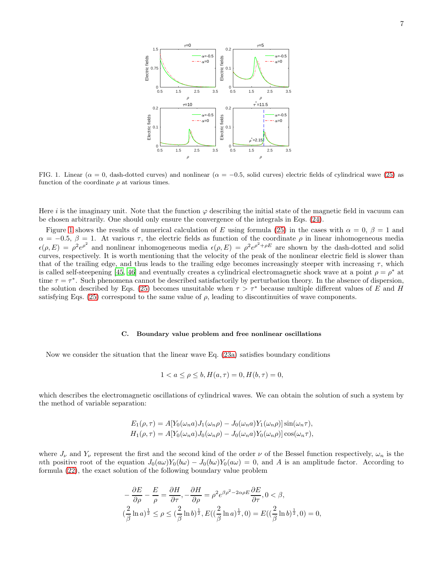

<span id="page-6-0"></span>FIG. 1. Linear ( $\alpha = 0$ , dash-dotted curves) and nonlinear ( $\alpha = -0.5$ , solid curves) electric fields of cylindrical wave [\(25\)](#page-5-2) as function of the coordinate  $\rho$  at various times.

Here i is the imaginary unit. Note that the function  $\varphi$  describing the initial state of the magnetic field in vacuum can be chosen arbitrarily. One should only ensure the convergence of the integrals in Eqs. [\(24\)](#page-5-0).

Figure [1](#page-6-0) shows the results of numerical calculation of E using formula [\(25\)](#page-5-2) in the cases with  $\alpha = 0, \beta = 1$  and  $\alpha = -0.5, \beta = 1$ . At various  $\tau$ , the electric fields as function of the coordinate  $\rho$  in linear inhomogeneous media  $\epsilon(\rho, E) = \rho^2 e^{\rho^2}$  and nonlinear inhomogeneous media  $\epsilon(\rho, E) = \rho^2 e^{\rho^2 + \rho E}$  are shown by the dash-dotted and solid curves, respectively. It is worth mentioning that the velocity of the peak of the nonlinear electric field is slower than that of the trailing edge, and thus leads to the trailing edge becomes increasingly steeper with increasing  $\tau$ , which is called self-steepening [\[45,](#page-10-6) [46\]](#page-10-7) and eventually creates a cylindrical electromagnetic shock wave at a point  $\rho = \rho^*$  at time  $\tau = \tau^*$ . Such phenomena cannot be described satisfactorily by perturbation theory. In the absence of dispersion, the solution described by Eqs. [\(25\)](#page-5-2) becomes unsuitable when  $\tau > \tau^*$  because multiple different values of E and H satisfying Eqs. [\(25\)](#page-5-2) correspond to the same value of  $\rho$ , leading to discontinuities of wave components.

#### C. Boundary value problem and free nonlinear oscillations

Now we consider the situation that the linear wave Eq. [\(23a\)](#page-5-3) satisfies boundary conditions

$$
1 < a \le \rho \le b, H(a, \tau) = 0, H(b, \tau) = 0,
$$

which describes the electromagnetic oscillations of cylindrical waves. We can obtain the solution of such a system by the method of variable separation:

$$
E_1(\rho, \tau) = A[Y_0(\omega_n a)J_1(\omega_n \rho) - J_0(\omega_n a)Y_1(\omega_n \rho)]\sin(\omega_n \tau),
$$
  
\n
$$
H_1(\rho, \tau) = A[Y_0(\omega_n a)J_0(\omega_n \rho) - J_0(\omega_n a)Y_0(\omega_n \rho)]\cos(\omega_n \tau),
$$

where  $J_{\nu}$  and  $Y_{\nu}$  represent the first and the second kind of the order  $\nu$  of the Bessel function respectively,  $\omega_n$  is the nth positive root of the equation  $J_0(a\omega)Y_0(b\omega) - J_0(b\omega)Y_0(a\omega) = 0$ , and A is an amplitude factor. According to formula [\(22\)](#page-5-1), the exact solution of the following boundary value problem

$$
-\frac{\partial E}{\partial \rho} - \frac{E}{\rho} = \frac{\partial H}{\partial \tau}, -\frac{\partial H}{\partial \rho} = \rho^2 e^{\beta \rho^2 - 2\alpha \rho E} \frac{\partial E}{\partial \tau}, 0 < \beta,
$$
  

$$
(\frac{2}{\beta} \ln a)^{\frac{1}{2}} \le \rho \le (\frac{2}{\beta} \ln b)^{\frac{1}{2}}, E((\frac{2}{\beta} \ln a)^{\frac{1}{2}}, 0) = E((\frac{2}{\beta} \ln b)^{\frac{1}{2}}, 0) = 0,
$$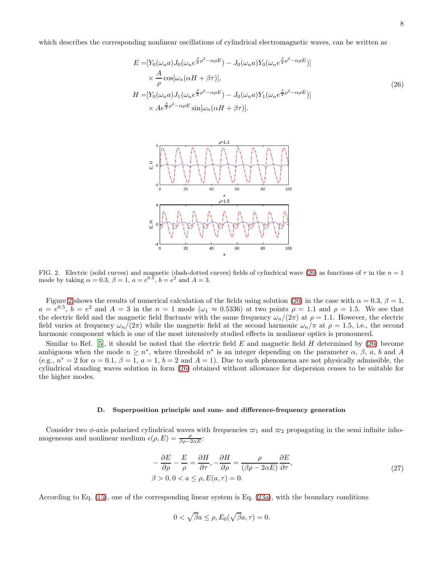which describes the corresponding nonlinear oscillations of cylindrical electromagnetic waves, can be written as

<span id="page-7-0"></span>
$$
E = [Y_0(\omega_n a)J_0(\omega_n e^{\frac{\beta}{2}\rho^2 - \alpha \rho E}) - J_0(\omega_n a)Y_0(\omega_n e^{\frac{\beta}{2}\rho^2 - \alpha \rho E})]
$$
  
\n
$$
\times \frac{A}{\rho} \cos[\omega_n(\alpha H + \beta \tau)],
$$
  
\n
$$
H = [Y_0(\omega_n a)J_1(\omega_n e^{\frac{\beta}{2}\rho^2 - \alpha \rho E}) - J_0(\omega_n a)Y_1(\omega_n e^{\frac{\beta}{2}\rho^2 - \alpha \rho E})]
$$
  
\n
$$
\times Ae^{\frac{\beta}{2}\rho^2 - \alpha \rho E} \sin[\omega_n(\alpha H + \beta \tau)].
$$
\n(26)



<span id="page-7-1"></span>FIG. 2. Electric (solid curves) and magnetic (dash-dotted curves) fields of cylindrical wave [\(26\)](#page-7-0) as functions of  $\tau$  in the  $n = 1$ mode by taking  $\alpha = 0.3$ ,  $\beta = 1$ ,  $a = e^{0.5}$ ,  $b = e^{2}$  and  $A = 3$ .

Figure [2](#page-7-1) shows the results of numerical calculation of the fields using solution [\(26\)](#page-7-0) in the case with  $\alpha = 0.3$ ,  $\beta = 1$ ,  $a = e^{0.5}$ ,  $b = e^2$  and  $A = 3$  in the  $n = 1$  mode  $(\omega_1 \approx 0.5336)$  at two points  $\rho = 1.1$  and  $\rho = 1.5$ . We see that the electric field and the magnetic field fluctuate with the same frequency  $\omega_n/(2\pi)$  at  $\rho = 1.1$ . However, the electric field varies at frequency  $\omega_n/(2\pi)$  while the magnetic field at the second harmonic  $\omega_n/\pi$  at  $\rho = 1.5$ , i.e., the second harmonic component which is one of the most intensively studied effects in nonlinear optics is pronounced.

Similar to Ref. [\[5](#page-9-2)], it should be noted that the electric field  $E$  and magnetic field  $H$  determined by [\(26\)](#page-7-0) become ambiguous when the mode  $n \geq n^*$ , where threshold  $n^*$  is an integer depending on the parameter  $\alpha$ ,  $\beta$ ,  $a$ ,  $b$  and A (e.g.,  $n^* = 2$  for  $\alpha = 0.1$ ,  $\beta = 1$ ,  $a = 1$ ,  $b = 2$  and  $A = 1$ ). Due to such phenomena are not physically admissible, the cylindrical standing waves solution in form [\(26\)](#page-7-0) obtained without allowance for dispersion ceases to be suitable for the higher modes.

#### D. Superposition principle and sum- and difference-frequency generation

Consider two  $\phi$ -axis polarized cylindrical waves with frequencies  $\varpi_1$  and  $\varpi_2$  propagating in the semi infinite inhomogeneous and nonlinear medium  $\epsilon(\rho, E) = \frac{\rho}{\beta \rho - 2\alpha E}$ :

<span id="page-7-2"></span>
$$
-\frac{\partial E}{\partial \rho} - \frac{E}{\rho} = \frac{\partial H}{\partial \tau}, -\frac{\partial H}{\partial \rho} = \frac{\rho}{(\beta \rho - 2\alpha E)} \frac{\partial E}{\partial \tau},
$$
  
\n
$$
\beta > 0, 0 < a \le \rho, E(a, \tau) = 0.
$$
\n(27)

According to Eq. [\(15\)](#page-3-5), one of the corresponding linear system is Eq. [\(23a\)](#page-5-3), with the boundary conditions

$$
0<\sqrt{\beta}a\leq\rho,E_{0}(\sqrt{\beta}a,\tau)=0.
$$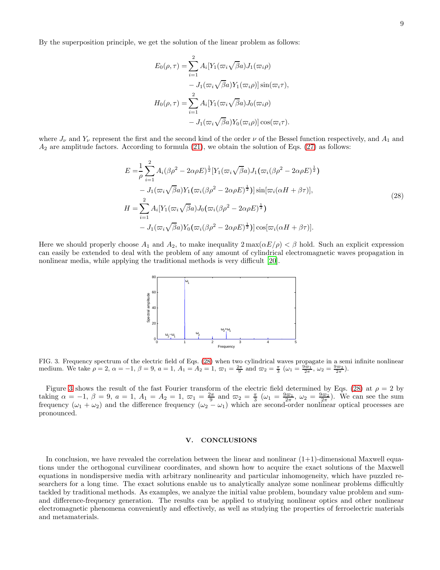By the superposition principle, we get the solution of the linear problem as follows:

$$
E_0(\rho, \tau) = \sum_{i=1}^2 A_i [Y_1(\varpi_i \sqrt{\beta} a) J_1(\varpi_i \rho)
$$
  

$$
- J_1(\varpi_i \sqrt{\beta} a) Y_1(\varpi_i \rho)] \sin(\varpi_i \tau),
$$
  

$$
H_0(\rho, \tau) = \sum_{i=1}^2 A_i [Y_1(\varpi_i \sqrt{\beta} a) J_0(\varpi_i \rho)
$$
  

$$
- J_1(\varpi_i \sqrt{\beta} a) Y_0(\varpi_i \rho)] \cos(\varpi_i \tau).
$$

where  $J_{\nu}$  and  $Y_{\nu}$  represent the first and the second kind of the order  $\nu$  of the Bessel function respectively, and  $A_1$  and  $A_2$  are amplitude factors. According to formula [\(21\)](#page-5-4), we obtain the solution of Eqs. [\(27\)](#page-7-2) as follows:

<span id="page-8-0"></span>
$$
E = \frac{1}{\rho} \sum_{i=1}^{2} A_i (\beta \rho^2 - 2\alpha \rho E)^{\frac{1}{2}} [Y_1(\varpi_i \sqrt{\beta} a) J_1(\varpi_i (\beta \rho^2 - 2\alpha \rho E)^{\frac{1}{2}})
$$
  
\n
$$
- J_1(\varpi_i \sqrt{\beta} a) Y_1(\varpi_i (\beta \rho^2 - 2\alpha \rho E)^{\frac{1}{2}})] \sin[\varpi_i(\alpha H + \beta \tau)],
$$
  
\n
$$
H = \sum_{i=1}^{2} A_i [Y_1(\varpi_i \sqrt{\beta} a) J_0(\varpi_i (\beta \rho^2 - 2\alpha \rho E)^{\frac{1}{2}})]
$$
  
\n
$$
- J_1(\varpi_i \sqrt{\beta} a) Y_0(\varpi_i (\beta \rho^2 - 2\alpha \rho E)^{\frac{1}{2}})] \cos[\varpi_i(\alpha H + \beta \tau)].
$$
\n(28)

Here we should properly choose  $A_1$  and  $A_2$ , to make inequality  $2 \max(\alpha E/\rho) < \beta$  hold. Such an explicit expression can easily be extended to deal with the problem of any amount of cylindrical electromagnetic waves propagation in nonlinear media, while applying the traditional methods is very difficult [\[20](#page-9-9)].



<span id="page-8-1"></span>FIG. 3. Frequency spectrum of the electric field of Eqs. [\(28\)](#page-8-0) when two cylindrical waves propagate in a semi infinite nonlinear medium. We take  $\rho = 2$ ,  $\alpha = -1$ ,  $\beta = 9$ ,  $a = 1$ ,  $A_1 = A_2 = 1$ ,  $\varpi_1 = \frac{2\pi}{9}$  and  $\varpi_2 = \frac{\pi}{3}$   $(\omega_1 = \frac{9\varpi_1}{2\pi}, \omega_2 = \frac{9\varpi_2}{2\pi})$ .

Figure [3](#page-8-1) shows the result of the fast Fourier transform of the electric field determined by Eqs. [\(28\)](#page-8-0) at  $\rho = 2$  by taking  $\alpha = -1, \beta = 9, \alpha = 1, A_1 = A_2 = 1, \varpi_1 = \frac{2\pi}{9}$  and  $\varpi_2 = \frac{\pi}{3}$   $(\omega_1 = \frac{9\varpi_1}{2\pi}, \omega_2 = \frac{9\varpi_2}{2\pi})$ . We can see the sum frequency  $(\omega_1 + \omega_2)$  and the difference frequency  $(\omega_2 - \omega_1)$  which are second-order nonlinear optical processes are pronounced.

# V. CONCLUSIONS

In conclusion, we have revealed the correlation between the linear and nonlinear  $(1+1)$ -dimensional Maxwell equations under the orthogonal curvilinear coordinates, and shown how to acquire the exact solutions of the Maxwell equations in nondispersive media with arbitrary nonlinearity and particular inhomogeneity, which have puzzled researchers for a long time. The exact solutions enable us to analytically analyze some nonlinear problems difficultly tackled by traditional methods. As examples, we analyze the initial value problem, boundary value problem and sumand difference-frequency generation. The results can be applied to studying nonlinear optics and other nonlinear electromagnetic phenomena conveniently and effectively, as well as studying the properties of ferroelectric materials and metamaterials.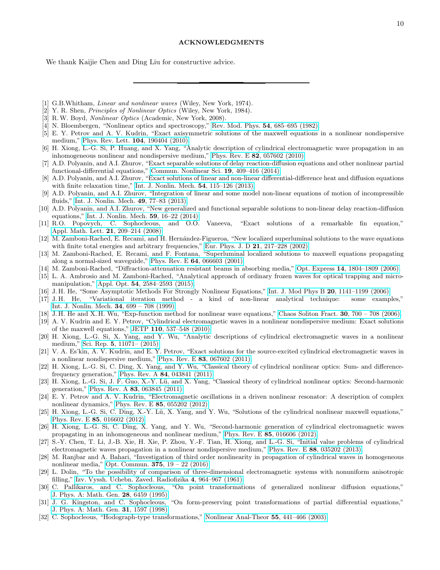We thank Kaijie Chen and Ding Liu for constructive advice.

- <span id="page-9-0"></span>[1] G.B.Whitham, *Linear and nonlinear waves* (Wiley, New York, 1974).
- [2] Y. R. Shen, Principles of Nonlinear Optics (Wiley, New York, 1984).
- [3] R.W. Boyd, Nonlinear Optics (Academic, New York, 2008).
- <span id="page-9-1"></span>[4] N. Bloembergen, "Nonlinear optics and spectroscopy," [Rev. Mod. Phys.](http://dx.doi.org/10.1103/RevModPhys.54.685) 54, 685–695 (1982).
- <span id="page-9-2"></span>[5] E. Y. Petrov and A. V. Kudrin, "Exact axisymmetric solutions of the maxwell equations in a nonlinear nondispersive medium," [Phys. Rev. Lett.](http://dx.doi.org/10.1103/PhysRevLett.104.190404) 104, 190404 (2010).
- <span id="page-9-3"></span>[6] H. Xiong, L.-G. Si, P. Huang, and X. Yang, "Analytic description of cylindrical electromagnetic wave propagation in an inhomogeneous nonlinear and nondispersive medium," Phys. Rev. E 82[, 057602 \(2010\).](http://dx.doi.org/10.1103/PhysRevE.82.057602)
- <span id="page-9-4"></span>[7] A.D. Polyanin, and A.I. Zhurov, "Exact separable solutions of delay reaction-diffusion equations and other nonlinear partial functional-differential equations," [Commun. Nonlinear Sci.](http://doi.org/10.1016/j.cnsns.2013.07.019) 19, 409–416 (2014).
- [8] A.D. Polyanin, and A.I. Zhurov, "Exact solutions of linear and non-linear differential-difference heat and diffusion equations with finite relaxation time," [Int. J. Nonlin. Mech.](http://doi.org/10.1016/j.ijnonlinmec.2013.03.011) **54**, 115-126 (2013).
- [9] A.D. Polyanin, and A.I. Zhurov, "Integration of linear and some model non-linear equations of motion of incompressible fluids," [Int. J. Nonlin. Mech.](http://doi.org/10.1016/j.ijnonlinmec.2012.08.004) 49, 77–83 (2013).
- [10] A.D. Polyanin, and A.I. Zhurov, "New generalized and functional separable solutions to non-linear delay reaction-diffusion equations," [Int. J. Nonlin. Mech.](http://doi.org/10.1016/j.ijnonlinmec.2013.10.008) 59, 16–22 (2014).
- [11] R.O. Popovych, C. Sophocleous, and O.O. Vaneeva, "Exact solutions of a remarkable fin equation," [Appl. Math. Lett.](http://doi.org/10.1016/j.aml.2007.03.009) 21, 209–214 (2008).
- [12] M. Zamboni-Rached, E. Recami, and H. Hernández-Figueroa, "New localized superluminal solutions to the wave equations with finite total energies and arbitrary frequencies," Eur. Phys. J. D 21[, 217–228 \(2002\).](http://dx.doi.org/10.1140/epjd/e2002-00198-7)
- [13] M. Zamboni-Rached, E. Recami, and F. Fontana, "Superluminal localized solutions to maxwell equations propagating along a normal-sized waveguide," Phys. Rev. E 64[, 066603 \(2001\).](http://dx.doi.org/10.1103/PhysRevE.64.066603)
- [14] M. Zamboni-Rached, "Diffraction-attenuation resistant beams in absorbing media," Opt. Express 14[, 1804–1809 \(2006\).](http://dx.doi.org/10.1364/OE.14.001804)
- <span id="page-9-5"></span>[15] L. A. Ambrosio and M. Zamboni-Rached, "Analytical approach of ordinary frozen waves for optical trapping and micromanipulation," Appl. Opt. 54[, 2584–2593 \(2015\).](http://dx.doi.org/10.1364/AO.54.002584)
- <span id="page-9-6"></span>[16] J. H. He, "Some Asymptotic Methods For Strongly Nonlinear Equations," [Int. J. Mod Phys B](http://dx.doi.org/10.1142/S0217979206033796) 20, 1141–1199 (2006).
- [17] J. H. He, "Variational iteration method a kind of non-linear analytical technique: some examples," [Int. J. Nonlin. Mech.](http://dx.doi.org/10.1016/S0020-7462(98)00048-1) 34, 699 – 708 (1999).
- <span id="page-9-7"></span>[18] J. H. He and X. H. Wu, "Exp-function method for nonlinear wave equations," [Chaos Soliton Fract.](http://dx.doi.org/10.1016/j.chaos.2006.03.020) 30, 700 – 708 (2006).
- <span id="page-9-8"></span>[19] A. V. Kudrin and E. Y. Petrov, "Cylindrical electromagnetic waves in a nonlinear nondispersive medium: Exact solutions of the maxwell equations," JETP 110[, 537–548 \(2010\).](http://dx.doi.org/10.1134/S1063776110030167)
- <span id="page-9-9"></span>[20] H. Xiong, L.-G. Si, X. Yang, and Y. Wu, "Analytic descriptions of cylindrical electromagnetic waves in a nonlinear medium," Sci. Rep. 5[, 11071– \(2015\).](http://dx.doi.org/10.1038/srep11071)
- [21] V. A. Es'kin, A. V. Kudrin, and E. Y. Petrov, "Exact solutions for the source-excited cylindrical electromagnetic waves in a nonlinear nondispersive medium," Phys. Rev. E 83[, 067602 \(2011\).](http://dx.doi.org/10.1103/PhysRevE.83.067602)
- [22] H. Xiong, L.-G. Si, C. Ding, X. Yang, and Y. Wu, "Classical theory of cylindrical nonlinear optics: Sum- and differencefrequency generation," Phys. Rev. A 84[, 043841 \(2011\).](http://dx.doi.org/10.1103/PhysRevA.84.043841)
- [23] H. Xiong, L.-G. Si, J. F. Guo, X.-Y. Lü, and X. Yang, "Classical theory of cylindrical nonlinear optics: Second-harmonic generation," Phys. Rev. A 83[, 063845 \(2011\).](http://dx.doi.org/10.1103/PhysRevA.83.063845)
- [24] E. Y. Petrov and A. V. Kudrin, "Electromagnetic oscillations in a driven nonlinear resonator: A description of complex nonlinear dynamics," Phys. Rev. E 85[, 055202 \(2012\).](http://dx.doi.org/10.1103/PhysRevE.85.055202)
- [25] H. Xiong, L.-G. Si, C. Ding, X.-Y. Lü, X. Yang, and Y. Wu, "Solutions of the cylindrical nonlinear maxwell equations," Phys. Rev. E 85[, 016602 \(2012\).](http://dx.doi.org/10.1103/PhysRevE.85.016602)
- [26] H. Xiong, L.-G. Si, C. Ding, X. Yang, and Y. Wu, "Second-harmonic generation of cylindrical electromagnetic waves propagating in an inhomogeneous and nonlinear medium," Phys. Rev. E 85[, 016606 \(2012\).](http://dx.doi.org/10.1103/PhysRevE.85.016606)
- [27] S.-Y. Chen, T. Li, J.-B. Xie, H. Xie, P. Zhou, Y.-F. Tian, H. Xiong, and L.-G. Si, "Initial value problems of cylindrical electromagnetic waves propagation in a nonlinear nondispersive medium," Phys. Rev. E 88[, 035202 \(2013\).](http://dx.doi.org/10.1103/PhysRevE.88.035202)
- <span id="page-9-10"></span>[28] M. Ranjbar and A. Bahari, "Investigation of third order nonlinearity in propagation of cylindrical waves in homogeneous nonlinear media," Opt. Commun. 375[, 19 – 22 \(2016\).](http://dx.doi.org/10.1016/j.optcom.2016.04.040)
- <span id="page-9-11"></span>[29] L. Dolin, "To the possibility of comparison of three-dimensional electromagnetic systems with nonuniform anisotropic filling," [Izv. Vyssh. Uchebn. Zaved. Radiofizika](https://www.math.utah.edu/~milton/DolinTrans2.pdf) 4, 964–967 (1961).
- <span id="page-9-12"></span>[30] C. Pallikaros, and C. Sophocleous, "On point transformations of generalized nonlinear diffusion equations," [J. Phys. A: Math. Gen.](http://stacks.iop.org/0305-4470/28/i=22/a=021) 28, 6459 (1995).
- [31] J. G. Kingston, and C. Sophocleous, "On form-preserving point transformations of partial differential equations," [J. Phys. A: Math. Gen.](http://stacks.iop.org/0305-4470/31/i=6/a=010) 31, 1597 (1998).
- <span id="page-9-13"></span>[32] C. Sophocleous, "Hodograph-type transformations," [Nonlinear Anal-Theor](http://doi.org/10.1016/S0362-546X(03)00246-3) 55, 441–466 (2003).